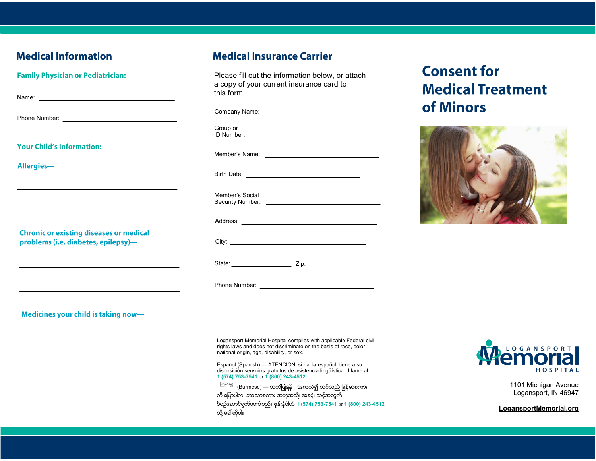## **Medical Information**

**Family Physician or Pediatrician:** 

| Name:                               |  |  |
|-------------------------------------|--|--|
|                                     |  |  |
| Phone Number: _____________________ |  |  |
|                                     |  |  |
|                                     |  |  |
|                                     |  |  |

**Your Child's Information:** 

Allergies-

**Chronic or existing diseases or medical** problems (i.e. diabetes, epilepsy)-

**Medical Insurance Carrier** 

Please fill out the information below, or attach a copy of your current insurance card to this form.

| Group or        |
|-----------------|
|                 |
|                 |
| Member's Social |
|                 |
|                 |
|                 |
|                 |

## **Consent for Medical Treatment** of Minors



Medicines your child is taking now-

Logansport Memorial Hospital complies with applicable Federal civil rights laws and does not discriminate on the basis of race, color, national origin, age, disability, or sex.

Español (Spanish) — ATENCIÓN: si habla español, tiene a su disposición servicios gratuitos de asistencia lingüística. Llame al **1 (574) 753-7541** or **1 (800) 243-4512**.

<sup>ကြမာန္</sup>န (Burmese) **—** သတိပြုရန် *-* အကယ်၍ သင်သည် မြန်မာစကား ကို ပြောပါက၊ ဘာသာစကား အကူအညီ၊ အခမဲ့၊ သင့်အတွက် စီစဥ္ေဆာင္ရြက္ေပးပါမည္။ ဖုန္းနံပါတ္**1 (574) 753-7541** or **1 (800) 243-4512**  သို့ ခေါ် ဆိုပါ။



1101 Michigan Avenue Logansport, IN 46947

**LogansportMemorial.org**